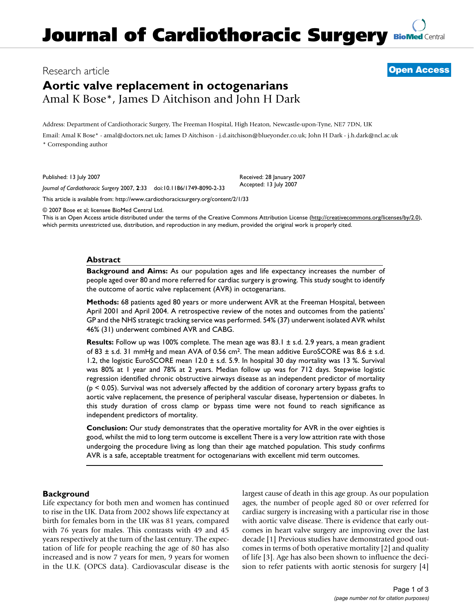## Research article **[Open Access](http://www.biomedcentral.com/info/about/charter/)**

# **Aortic valve replacement in octogenarians** Amal K Bose\*, James D Aitchison and John H Dark

Address: Department of Cardiothoracic Surgery, The Freeman Hospital, High Heaton, Newcastle-upon-Tyne, NE7 7DN, UK Email: Amal K Bose\* - amal@doctors.net.uk; James D Aitchison - j.d.aitchison@blueyonder.co.uk; John H Dark - j.h.dark@ncl.ac.uk \* Corresponding author

Published: 13 July 2007

Received: 28 January 2007 Accepted: 13 July 2007

[This article is available from: http://www.cardiothoracicsurgery.org/content/2/1/33](http://www.cardiothoracicsurgery.org/content/2/1/33)

*Journal of Cardiothoracic Surgery* 2007, **2**:33 doi:10.1186/1749-8090-2-33

© 2007 Bose et al; licensee BioMed Central Ltd.

This is an Open Access article distributed under the terms of the Creative Commons Attribution License [\(http://creativecommons.org/licenses/by/2.0\)](http://creativecommons.org/licenses/by/2.0), which permits unrestricted use, distribution, and reproduction in any medium, provided the original work is properly cited.

## **Abstract**

**Background and Aims:** As our population ages and life expectancy increases the number of people aged over 80 and more referred for cardiac surgery is growing. This study sought to identify the outcome of aortic valve replacement (AVR) in octogenarians.

**Methods:** 68 patients aged 80 years or more underwent AVR at the Freeman Hospital, between April 2001 and April 2004. A retrospective review of the notes and outcomes from the patients' GP and the NHS strategic tracking service was performed. 54% (37) underwent isolated AVR whilst 46% (31) underwent combined AVR and CABG.

**Results:** Follow up was 100% complete. The mean age was 83.1 ± s.d. 2.9 years, a mean gradient of 83 ± s.d. 31 mmHg and mean AVA of 0.56 cm2. The mean additive EuroSCORE was 8.6 ± s.d. 1.2, the logistic EuroSCORE mean 12.0 ± s.d. 5.9. In hospital 30 day mortality was 13 %. Survival was 80% at 1 year and 78% at 2 years. Median follow up was for 712 days. Stepwise logistic regression identified chronic obstructive airways disease as an independent predictor of mortality  $(p < 0.05)$ . Survival was not adversely affected by the addition of coronary artery bypass grafts to aortic valve replacement, the presence of peripheral vascular disease, hypertension or diabetes. In this study duration of cross clamp or bypass time were not found to reach significance as independent predictors of mortality.

**Conclusion:** Our study demonstrates that the operative mortality for AVR in the over eighties is good, whilst the mid to long term outcome is excellent There is a very low attrition rate with those undergoing the procedure living as long than their age matched population. This study confirms AVR is a safe, acceptable treatment for octogenarians with excellent mid term outcomes.

## **Background**

Life expectancy for both men and women has continued to rise in the UK. Data from 2002 shows life expectancy at birth for females born in the UK was 81 years, compared with 76 years for males. This contrasts with 49 and 45 years respectively at the turn of the last century. The expectation of life for people reaching the age of 80 has also increased and is now 7 years for men, 9 years for women in the U.K. (OPCS data). Cardiovascular disease is the largest cause of death in this age group. As our population ages, the number of people aged 80 or over referred for cardiac surgery is increasing with a particular rise in those with aortic valve disease. There is evidence that early outcomes in heart valve surgery are improving over the last decade [1] Previous studies have demonstrated good outcomes in terms of both operative mortality [2] and quality of life [3]. Age has also been shown to influence the decision to refer patients with aortic stenosis for surgery [4]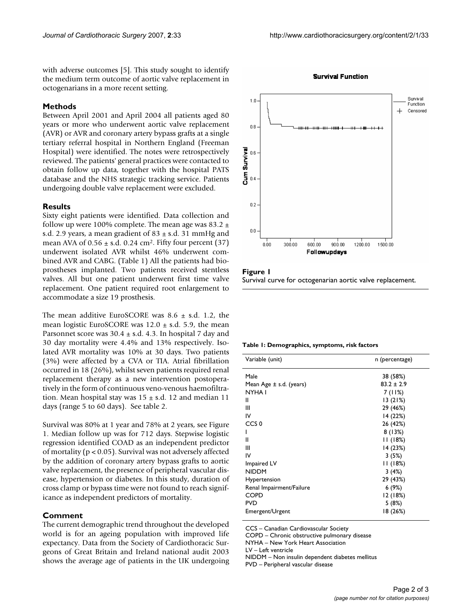**Survival Function** 

with adverse outcomes [5]. This study sought to identify the medium term outcome of aortic valve replacement in octogenarians in a more recent setting.

## **Methods**

Between April 2001 and April 2004 all patients aged 80 years or more who underwent aortic valve replacement (AVR) or AVR and coronary artery bypass grafts at a single tertiary referral hospital in Northern England (Freeman Hospital) were identified. The notes were retrospectively reviewed. The patients' general practices were contacted to obtain follow up data, together with the hospital PATS database and the NHS strategic tracking service. Patients undergoing double valve replacement were excluded.

#### **Results**

Sixty eight patients were identified. Data collection and follow up were 100% complete. The mean age was 83.2  $\pm$ s.d. 2.9 years, a mean gradient of  $83 \pm$  s.d. 31 mmHg and mean AVA of  $0.56 \pm$  s.d. 0.24 cm<sup>2</sup>. Fifty four percent (37) underwent isolated AVR whilst 46% underwent combined AVR and CABG. (Table 1) All the patients had bioprostheses implanted. Two patients received stentless valves. All but one patient underwent first time valve replacement. One patient required root enlargement to accommodate a size 19 prosthesis.

The mean additive EuroSCORE was  $8.6 \pm s.d.$  1.2, the mean logistic EuroSCORE was  $12.0 \pm$  s.d. 5.9, the mean Parsonnet score was  $30.4 \pm s.d.$  4.3. In hospital 7 day and 30 day mortality were 4.4% and 13% respectively. Isolated AVR mortality was 10% at 30 days. Two patients (3%) were affected by a CVA or TIA. Atrial fibrillation occurred in 18 (26%), whilst seven patients required renal replacement therapy as a new intervention postoperatively in the form of continuous veno-venous haemofiltration. Mean hospital stay was  $15 \pm$  s.d. 12 and median 11 days (range 5 to 60 days). See table 2.

Survival was 80% at 1 year and 78% at 2 years, see Figure 1. Median follow up was for 712 days. Stepwise logistic regression identified COAD as an independent predictor of mortality (p < 0.05). Survival was not adversely affected by the addition of coronary artery bypass grafts to aortic valve replacement, the presence of peripheral vascular disease, hypertension or diabetes. In this study, duration of cross clamp or bypass time were not found to reach significance as independent predictors of mortality.

## **Comment**

The current demographic trend throughout the developed world is for an ageing population with improved life expectancy. Data from the Society of Cardiothoracic Surgeons of Great Britain and Ireland national audit 2003 shows the average age of patients in the UK undergoing



Figure 1 Survival curve for octogenarian aortic valve replacement.

#### **Table 1: Demographics, symptoms, risk factors**

| Variable (unit)          | n (percentage) |
|--------------------------|----------------|
| Male                     | 38 (58%)       |
| Mean Age ± s.d. (years)  | $83.2 \pm 2.9$ |
| NYHA I                   | 7(11%)         |
| Ш                        | 13(21%)        |
| Ш                        | 29 (46%)       |
| IV                       | 14 (22%)       |
| CCS <sub>0</sub>         | 26 (42%)       |
| ı                        | 8(13%)         |
| Ш                        | 11(18%)        |
| Ш                        | 14 (23%)       |
| IV                       | 3(5%)          |
| Impaired LV              | 11(18%)        |
| <b>NIDDM</b>             | 3(4%)          |
| Hypertension             | 29 (43%)       |
| Renal Impairment/Failure | 6(9%)          |
| COPD                     | 12(18%)        |
| PVD                      | 5(8%)          |
| Emergent/Urgent          | 18 (26%)       |
|                          |                |

CCS – Canadian Cardiovascular Society

COPD – Chronic obstructive pulmonary disease

NYHA – New York Heart Association

LV – Left ventricle

NIDDM – Non insulin dependent diabetes mellitus

PVD – Peripheral vascular disease